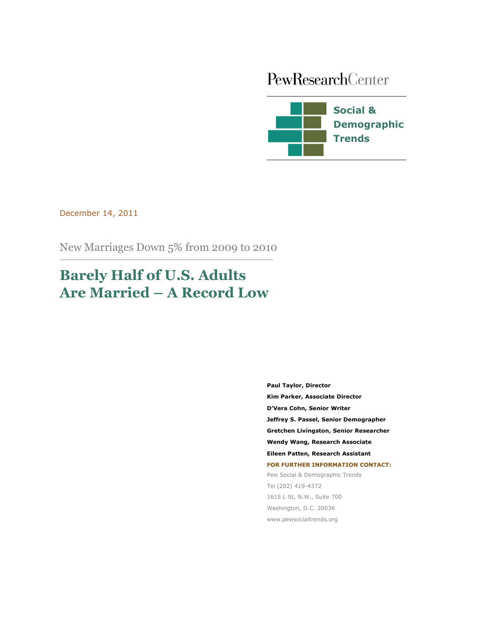# PewResearchCenter



December 14, 2011

New Marriages Down 5% from 2009 to 2010

# **Barely Half of U.S. Adults Are Married – A Record Low**

**Paul Taylor, Director Kim Parker, Associate Director D'Vera Cohn, Senior Writer Jeffrey S. Passel, Senior Demographer Gretchen Livingston, Senior Researcher Wendy Wang, Research Associate Eileen Patten, Research Assistant FOR FURTHER INFORMATION CONTACT:** Pew Social & Demographic Trends Tel (202) 419-4372 1615 L St, N.W., Suite 700 Washington, D.C. 20036

www.pewsocialtrends.org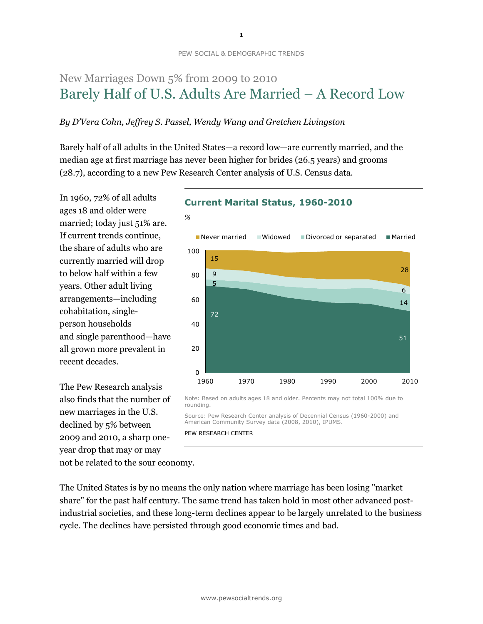# New Marriages Down 5% from 2009 to 2010 Barely Half of U.S. Adults Are Married – A Record Low

### *By D'Vera Cohn, Jeffrey S. Passel, Wendy Wang and Gretchen Livingston*

*%*

Barely half of all adults in the United States—a record low—are currently married, and the median age at first marriage has never been higher for brides (26.5 years) and grooms (28.7), according to a new Pew Research Center analysis of U.S. Census data.

In 1960, 72% of all adults ages 18 and older were married; today just 51% are. If current trends continue, the share of adults who are currently married will drop to below half within a few years. Other adult living arrangements—including cohabitation, singleperson households and single parenthood—have all grown more prevalent in recent decades.

The Pew Research analysis also finds that the number of new marriages in the U.S. declined by 5% between 2009 and 2010, a sharp oneyear drop that may or may

## **Current Marital Status, 1960-2010**



Note: Based on adults ages 18 and older. Percents may not total 100% due to rounding.

Source: Pew Research Center analysis of Decennial Census (1960-2000) and American Community Survey data (2008, 2010), IPUMS.

PEW RESEARCH CENTER

not be related to the sour economy.

The United States is by no means the only nation where marriage has been losing "market share" for the past half century. The same trend has taken hold in most other advanced postindustrial societies, and these long-term declines appear to be largely unrelated to the business cycle. The declines have persisted through good economic times and bad.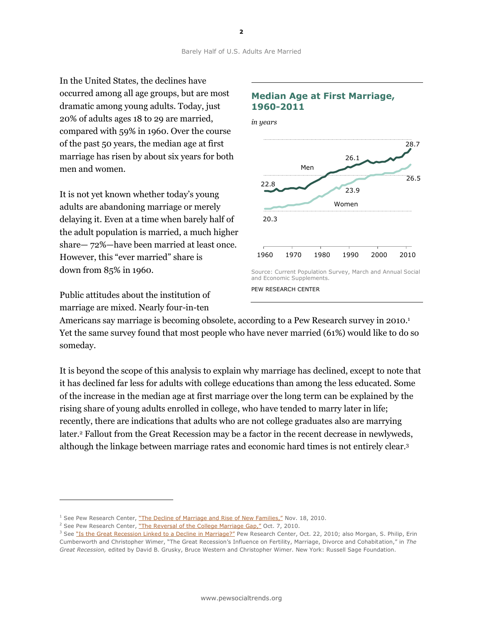In the United States, the declines have occurred among all age groups, but are most dramatic among young adults. Today, just 20% of adults ages 18 to 29 are married, compared with 59% in 1960. Over the course of the past 50 years, the median age at first marriage has risen by about six years for both men and women.

It is not yet known whether today's young adults are abandoning marriage or merely delaying it. Even at a time when barely half of the adult population is married, a much higher share— 72%—have been married at least once. However, this "ever married" share is down from 85% in 1960.

Public attitudes about the institution of marriage are mixed. Nearly four-in-ten

l,



Americans say marriage is becoming obsolete, according to a Pew Research survey in 2010.<sup>1</sup> Yet the same survey found that most people who have never married (61%) would like to do so someday.

It is beyond the scope of this analysis to explain why marriage has declined, except to note that it has declined far less for adults with college educations than among the less educated. Some of the increase in the median age at first marriage over the long term can be explained by the rising share of young adults enrolled in college, who have tended to marry later in life; recently, there are indications that adults who are not college graduates also are marrying later.<sup>2</sup> Fallout from the Great Recession may be a factor in the recent decrease in newlyweds, although the linkage between marriage rates and economic hard times is not entirely clear.<sup>3</sup>

 $<sup>1</sup>$  See Pew Research Center, ["The Decline of Marriage and Rise of New Families,"](http://www.pewsocialtrends.org/2010/11/18/the-decline-of-marriage-and-rise-of-new-families/6/) Nov. 18, 2010.</sup>

<sup>&</sup>lt;sup>2</sup> See Pew Research Center, ["The Reversal of the College Marriage Gap,"](http://www.pewsocialtrends.org/2010/10/07/the-reversal-of-the-college-marriage-gap/) Oct. 7, 2010.

<sup>&</sup>lt;sup>3</sup> See ["Is the Great Recession Linked to a Decline in Marriage?"](http://www.pewsocialtrends.org/2010/10/22/is-the-great-recession-linked-to-a-decline-in-marriage/) Pew Research Center, Oct. 22, 2010; also Morgan, S. Philip, Erin Cumberworth and Christopher Wimer, "The Great Recession's Influence on Fertility, Marriage, Divorce and Cohabitation," in *The Great Recession,* edited by David B. Grusky, Bruce Western and Christopher Wimer. New York: Russell Sage Foundation.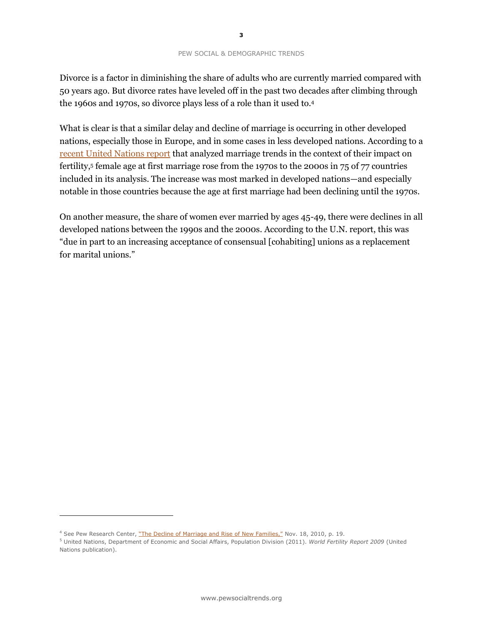Divorce is a factor in diminishing the share of adults who are currently married compared with 50 years ago. But divorce rates have leveled off in the past two decades after climbing through the 1960s and 1970s, so divorce plays less of a role than it used to.<sup>4</sup>

What is clear is that a similar delay and decline of marriage is occurring in other developed nations, especially those in Europe, and in some cases in less developed nations. According to a [recent United Nations report](http://www.un.org/esa/population/publications/WFR2009_Web/Data/WFR2009_Report.pdf) that analyzed marriage trends in the context of their impact on fertility, 5 female age at first marriage rose from the 1970s to the 2000s in 75 of 77 countries included in its analysis. The increase was most marked in developed nations—and especially notable in those countries because the age at first marriage had been declining until the 1970s.

On another measure, the share of women ever married by ages 45-49, there were declines in all developed nations between the 1990s and the 2000s. According to the U.N. report, this was "due in part to an increasing acceptance of consensual [cohabiting] unions as a replacement for marital unions."

 $\overline{a}$ 

<sup>&</sup>lt;sup>4</sup> See Pew Research Center, ["The Decline of Marriage and Rise of New Families,"](http://www.pewsocialtrends.org/2010/11/18/the-decline-of-marriage-and-rise-of-new-families/6/) Nov. 18, 2010, p. 19.

<sup>5</sup> United Nations, Department of Economic and Social Affairs, Population Division (2011). *World Fertility Report 2009* (United Nations publication).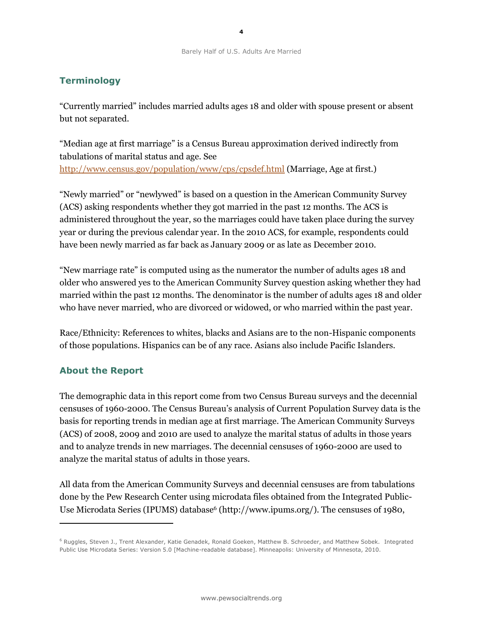# **Terminology**

"Currently married" includes married adults ages 18 and older with spouse present or absent but not separated.

"Median age at first marriage" is a Census Bureau approximation derived indirectly from tabulations of marital status and age. See <http://www.census.gov/population/www/cps/cpsdef.html> (Marriage, Age at first.)

"Newly married" or "newlywed" is based on a question in the American Community Survey (ACS) asking respondents whether they got married in the past 12 months. The ACS is administered throughout the year, so the marriages could have taken place during the survey year or during the previous calendar year. In the 2010 ACS, for example, respondents could have been newly married as far back as January 2009 or as late as December 2010.

"New marriage rate" is computed using as the numerator the number of adults ages 18 and older who answered yes to the American Community Survey question asking whether they had married within the past 12 months. The denominator is the number of adults ages 18 and older who have never married, who are divorced or widowed, or who married within the past year.

Race/Ethnicity: References to whites, blacks and Asians are to the non-Hispanic components of those populations. Hispanics can be of any race. Asians also include Pacific Islanders.

## **About the Report**

l,

The demographic data in this report come from two Census Bureau surveys and the decennial censuses of 1960-2000. The Census Bureau's analysis of Current Population Survey data is the basis for reporting trends in median age at first marriage. The American Community Surveys (ACS) of 2008, 2009 and 2010 are used to analyze the marital status of adults in those years and to analyze trends in new marriages. The decennial censuses of 1960-2000 are used to analyze the marital status of adults in those years.

All data from the American Community Surveys and decennial censuses are from tabulations done by the Pew Research Center using microdata files obtained from the Integrated Public-Use Microdata Series (IPUMS) database<sup>6</sup> [\(http://www.ipums.org/\)](http://www.ipums.org/). The censuses of 1980,

<sup>&</sup>lt;sup>6</sup> Ruggles, Steven J., Trent Alexander, Katie Genadek, Ronald Goeken, Matthew B. Schroeder, and Matthew Sobek. Integrated Public Use Microdata Series: Version 5.0 [Machine-readable database]. Minneapolis: University of Minnesota, 2010.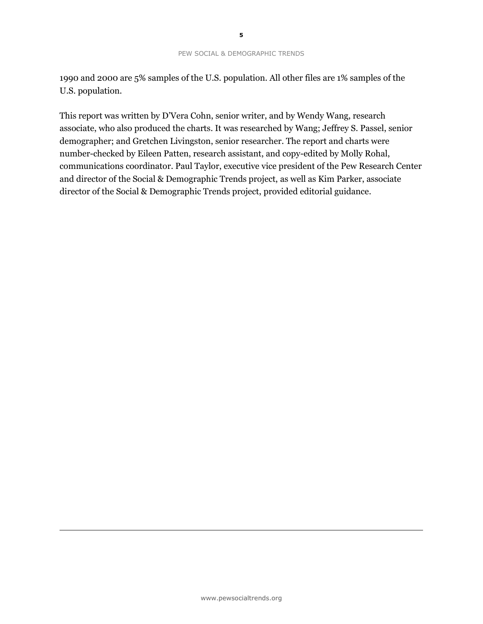1990 and 2000 are 5% samples of the U.S. population. All other files are 1% samples of the U.S. population.

This report was written by D'Vera Cohn, senior writer, and by Wendy Wang, research associate, who also produced the charts. It was researched by Wang; Jeffrey S. Passel, senior demographer; and Gretchen Livingston, senior researcher. The report and charts were number-checked by Eileen Patten, research assistant, and copy-edited by Molly Rohal, communications coordinator. Paul Taylor, executive vice president of the Pew Research Center and director of the Social & Demographic Trends project, as well as Kim Parker, associate director of the Social & Demographic Trends project, provided editorial guidance.

-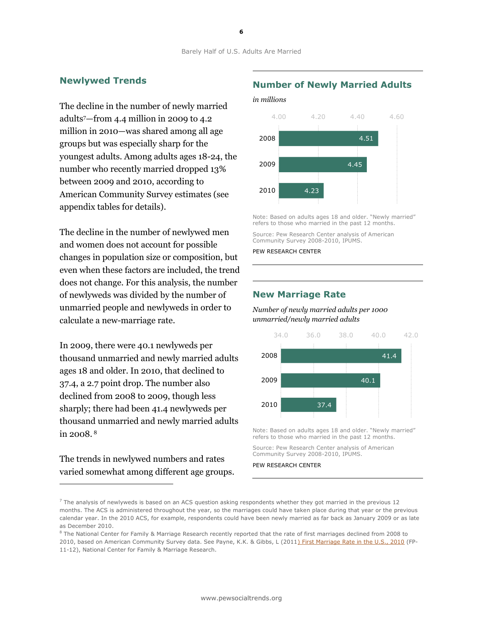### **Newlywed Trends**

The decline in the number of newly married adults7—from 4.4 million in 2009 to 4.2 million in 2010—was shared among all age groups but was especially sharp for the youngest adults. Among adults ages 18-24, the number who recently married dropped 13% between 2009 and 2010, according to American Community Survey estimates (see appendix tables for details).

The decline in the number of newlywed men and women does not account for possible changes in population size or composition, but even when these factors are included, the trend does not change. For this analysis, the number of newlyweds was divided by the number of unmarried people and newlyweds in order to calculate a new-marriage rate.

In 2009, there were 40.1 newlyweds per thousand unmarried and newly married adults ages 18 and older. In 2010, that declined to 37.4, a 2.7 point drop. The number also declined from 2008 to 2009, though less sharply; there had been 41.4 newlyweds per thousand unmarried and newly married adults in 2008. <sup>8</sup>

The trends in newlywed numbers and rates varied somewhat among different age groups.

#### **Number of Newly Married Adults**

*in millions* 



Note: Based on adults ages 18 and older. "Newly married" refers to those who married in the past 12 months.

Source: Pew Research Center analysis of American Community Survey 2008-2010, IPUMS.

PEW RESEARCH CENTER

#### **New Marriage Rate**

*Number of newly married adults per 1000 unmarried/newly married adults*



Note: Based on adults ages 18 and older. "Newly married" refers to those who married in the past 12 months.

Source: Pew Research Center analysis of American Community Survey 2008-2010, IPUMS.

PEW RESEARCH CENTER

1

 $7$  The analysis of newlyweds is based on an ACS question asking respondents whether they got married in the previous 12 months. The ACS is administered throughout the year, so the marriages could have taken place during that year or the previous calendar year. In the 2010 ACS, for example, respondents could have been newly married as far back as January 2009 or as late as December 2010.

<sup>&</sup>lt;sup>8</sup> The National Center for Family & Marriage Research recently reported that the rate of first marriages declined from 2008 to 2010, based on American Community Survey data. See Payne, K.K. & Gibbs, L (201[1\) First Marriage Rate in the U.S., 2010](http://ncfmr.bgsu.edu/pdf/family_profiles/file104173.pdf) (FP-

<sup>11-12),</sup> National Center for Family & Marriage Research.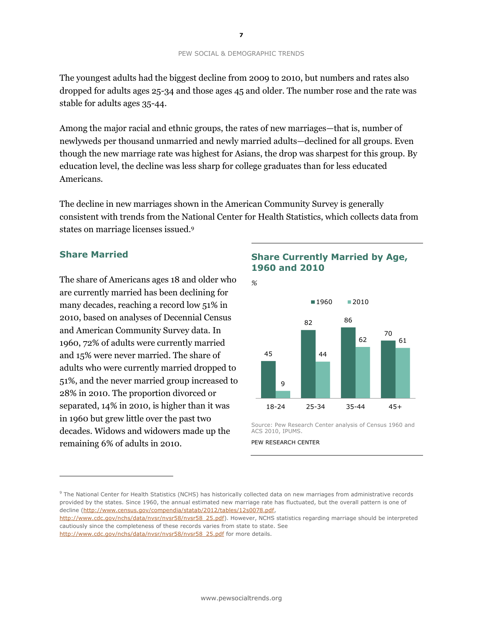The youngest adults had the biggest decline from 2009 to 2010, but numbers and rates also dropped for adults ages 25-34 and those ages 45 and older. The number rose and the rate was stable for adults ages 35-44.

Among the major racial and ethnic groups, the rates of new marriages—that is, number of newlyweds per thousand unmarried and newly married adults—declined for all groups. Even though the new marriage rate was highest for Asians, the drop was sharpest for this group. By education level, the decline was less sharp for college graduates than for less educated Americans.

The decline in new marriages shown in the American Community Survey is generally consistent with trends from the National Center for Health Statistics, which collects data from states on marriage licenses issued.<sup>9</sup>

## **Share Married**

l,

The share of Americans ages 18 and older who are currently married has been declining for many decades, reaching a record low 51% in 2010, based on analyses of Decennial Census and American Community Survey data. In 1960, 72% of adults were currently married and 15% were never married. The share of adults who were currently married dropped to 51%, and the never married group increased to 28% in 2010. The proportion divorced or separated, 14% in 2010, is higher than it was in 1960 but grew little over the past two decades. Widows and widowers made up the remaining 6% of adults in 2010.

## **Share Currently Married by Age, 1960 and 2010**



Source: Pew Research Center analysis of Census 1960 and ACS 2010, IPUMS.

<sup>9</sup> The National Center for Health Statistics (NCHS) has historically collected data on new marriages from administrative records provided by the states. Since 1960, the annual estimated new marriage rate has fluctuated, but the overall pattern is one of decline [\(http://www.census.gov/compendia/statab/2012/tables/12s0078.pdf,](http://www.census.gov/compendia/statab/2012/tables/12s0078.pdf)

PEW RESEARCH CENTER

[http://www.cdc.gov/nchs/data/nvsr/nvsr58/nvsr58\\_25.pdf\)](http://www.cdc.gov/nchs/data/nvsr/nvsr58/nvsr58_25.pdf). However, NCHS statistics regarding marriage should be interpreted cautiously since the completeness of these records varies from state to state. See

[http://www.cdc.gov/nchs/data/nvsr/nvsr58/nvsr58\\_25.pdf](http://www.cdc.gov/nchs/data/nvsr/nvsr58/nvsr58_25.pdf) for more details.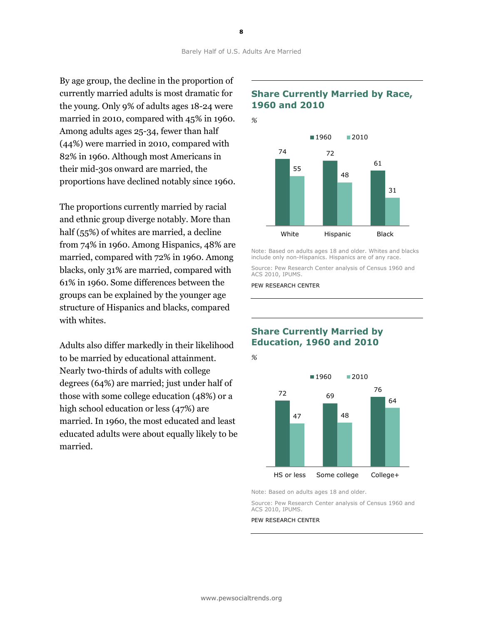By age group, the decline in the proportion of currently married adults is most dramatic for the young. Only 9% of adults ages 18-24 were married in 2010, compared with 45% in 1960. Among adults ages 25-34, fewer than half (44%) were married in 2010, compared with 82% in 1960. Although most Americans in their mid-30s onward are married, the proportions have declined notably since 1960.

The proportions currently married by racial and ethnic group diverge notably. More than half (55%) of whites are married, a decline from 74% in 1960. Among Hispanics, 48% are married, compared with 72% in 1960. Among blacks, only 31% are married, compared with 61% in 1960. Some differences between the groups can be explained by the younger age structure of Hispanics and blacks, compared with whites.

Adults also differ markedly in their likelihood to be married by educational attainment. Nearly two-thirds of adults with college degrees (64%) are married; just under half of those with some college education (48%) or a high school education or less (47%) are married. In 1960, the most educated and least educated adults were about equally likely to be married.

## **Share Currently Married by Race, 1960 and 2010**



Note: Based on adults ages 18 and older. Whites and blacks include only non-Hispanics. Hispanics are of any race.

Source: Pew Research Center analysis of Census 1960 and ACS 2010, IPUMS.

PEW RESEARCH CENTER

## **Share Currently Married by Education, 1960 and 2010**



Note: Based on adults ages 18 and older.

Source: Pew Research Center analysis of Census 1960 and ACS 2010, IPUMS.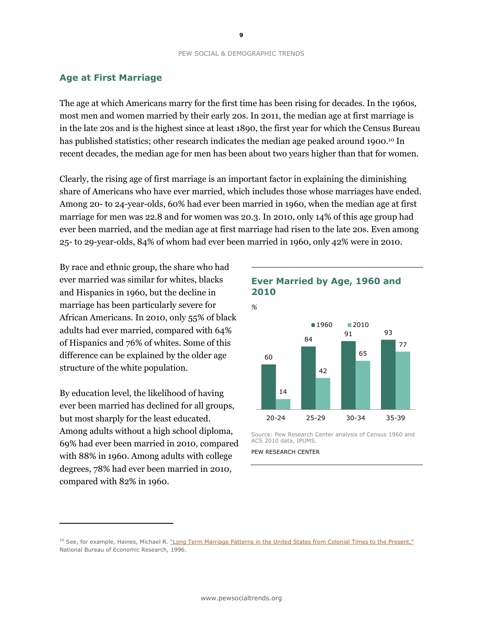## **Age at First Marriage**

The age at which Americans marry for the first time has been rising for decades. In the 1960s, most men and women married by their early 20s. In 2011, the median age at first marriage is in the late 20s and is the highest since at least 1890, the first year for which the Census Bureau has published statistics; other research indicates the median age peaked around 1900.<sup>10</sup> In recent decades, the median age for men has been about two years higher than that for women.

Clearly, the rising age of first marriage is an important factor in explaining the diminishing share of Americans who have ever married, which includes those whose marriages have ended. Among 20- to 24-year-olds, 60% had ever been married in 1960, when the median age at first marriage for men was 22.8 and for women was 20.3. In 2010, only 14% of this age group had ever been married, and the median age at first marriage had risen to the late 20s. Even among 25- to 29-year-olds, 84% of whom had ever been married in 1960, only 42% were in 2010*.*

By race and ethnic group, the share who had ever married was similar for whites, blacks and Hispanics in 1960, but the decline in marriage has been particularly severe for African Americans. In 2010, only 55% of black adults had ever married, compared with 64% of Hispanics and 76% of whites. Some of this difference can be explained by the older age structure of the white population.

By education level, the likelihood of having ever been married has declined for all groups, but most sharply for the least educated. Among adults without a high school diploma, 69% had ever been married in 2010, compared with 88% in 1960. Among adults with college degrees, 78% had ever been married in 2010, compared with 82% in 1960.

l,



Source: Pew Research Center analysis of Census 1960 and ACS 2010 data, IPUMS.

<sup>&</sup>lt;sup>10</sup> See, for example, Haines, Michael R. ["Long Term Marriage Patterns in the United States from Colonial Times to the Present,"](http://www.nber.org/papers/h0080.pdf) National Bureau of Economic Research, 1996.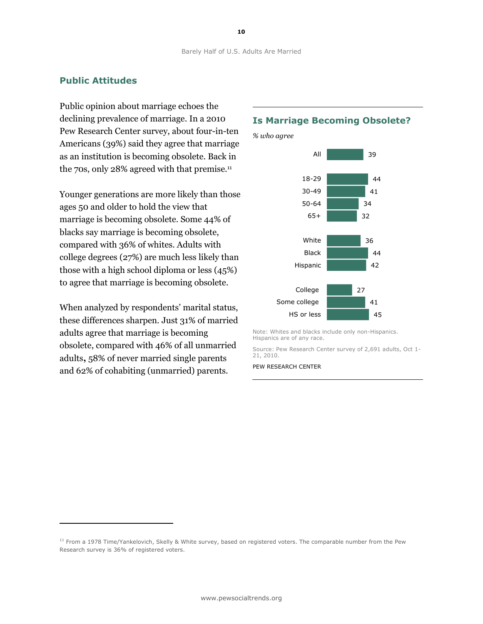## **Public Attitudes**

Public opinion about marriage echoes the declining prevalence of marriage. In a 2010 Pew Research Center survey, about four-in-ten Americans (39%) said they agree that marriage as an institution is becoming obsolete. Back in the 70s, only 28% agreed with that premise.<sup>11</sup>

Younger generations are more likely than those ages 50 and older to hold the view that marriage is becoming obsolete. Some 44% of blacks say marriage is becoming obsolete, compared with 36% of whites. Adults with college degrees (27%) are much less likely than those with a high school diploma or less (45%) to agree that marriage is becoming obsolete.

When analyzed by respondents' marital status, these differences sharpen. Just 31% of married adults agree that marriage is becoming obsolete, compared with 46% of all unmarried adults**,** 58% of never married single parents and 62% of cohabiting (unmarried) parents.

l,

#### **Is Marriage Becoming Obsolete?**





Note: Whites and blacks include only non-Hispanics. Hispanics are of any race.

Source: Pew Research Center survey of 2,691 adults, Oct 1- 21, 2010.

<sup>&</sup>lt;sup>11</sup> From a 1978 Time/Yankelovich, Skelly & White survey, based on registered voters. The comparable number from the Pew Research survey is 36% of registered voters.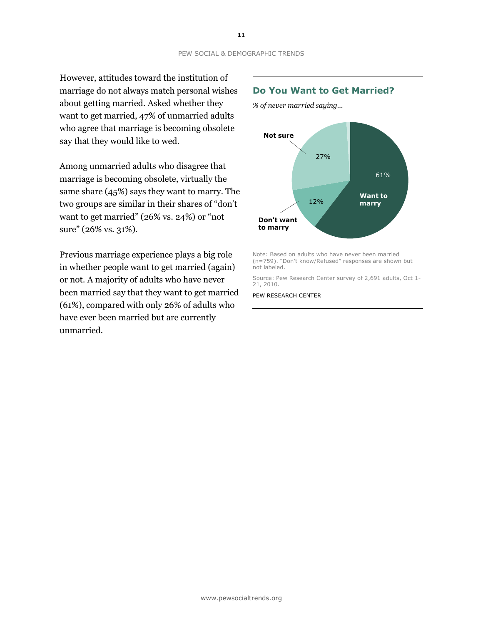However, attitudes toward the institution of marriage do not always match personal wishes about getting married. Asked whether they want to get married, 47% of unmarried adults who agree that marriage is becoming obsolete say that they would like to wed.

Among unmarried adults who disagree that marriage is becoming obsolete, virtually the same share (45%) says they want to marry. The two groups are similar in their shares of "don't want to get married" (26% vs. 24%) or "not sure" (26% vs. 31%).

Previous marriage experience plays a big role in whether people want to get married (again) or not. A majority of adults who have never been married say that they want to get married (61%), compared with only 26% of adults who have ever been married but are currently unmarried.

#### **Do You Want to Get Married?**

*% of never married saying…*



Note: Based on adults who have never been married (n=759). "Don't know/Refused" responses are shown but not labeled.

Source: Pew Research Center survey of 2,691 adults, Oct 1- 21, 2010.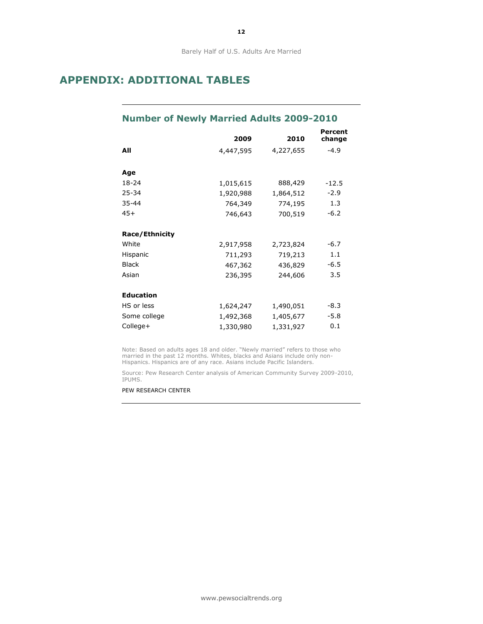Barely Half of U.S. Adults Are Married

# **APPENDIX: ADDITIONAL TABLES**

# **Number of Newly Married Adults 2009-2010**

|                       | 2009      | 2010      | Percent<br>change |
|-----------------------|-----------|-----------|-------------------|
| All                   | 4,447,595 | 4,227,655 | $-4.9$            |
| Age                   |           |           |                   |
| 18-24                 | 1,015,615 | 888,429   | $-12.5$           |
| 25-34                 | 1,920,988 | 1,864,512 | $-2.9$            |
| $35 - 44$             | 764,349   | 774,195   | 1.3               |
| $45+$                 | 746,643   | 700,519   | $-6.2$            |
| <b>Race/Ethnicity</b> |           |           |                   |
| White                 | 2,917,958 | 2,723,824 | -6.7              |
| Hispanic              | 711,293   | 719,213   | 1.1               |
| <b>Black</b>          | 467,362   | 436,829   | $-6.5$            |
| Asian                 | 236,395   | 244,606   | 3.5               |
| <b>Education</b>      |           |           |                   |
| HS or less            | 1,624,247 | 1,490,051 | $-8.3$            |
| Some college          | 1,492,368 | 1,405,677 | $-5.8$            |
| College+              | 1,330,980 | 1,331,927 | 0.1               |

Note: Based on adults ages 18 and older. "Newly married" refers to those who married in the past 12 months. Whites, blacks and Asians include only non-Hispanics. Hispanics are of any race. Asians include Pacific Islanders.

Source: Pew Research Center analysis of American Community Survey 2009-2010, IPUMS.

PEW RESEARCH CENTER

**12**